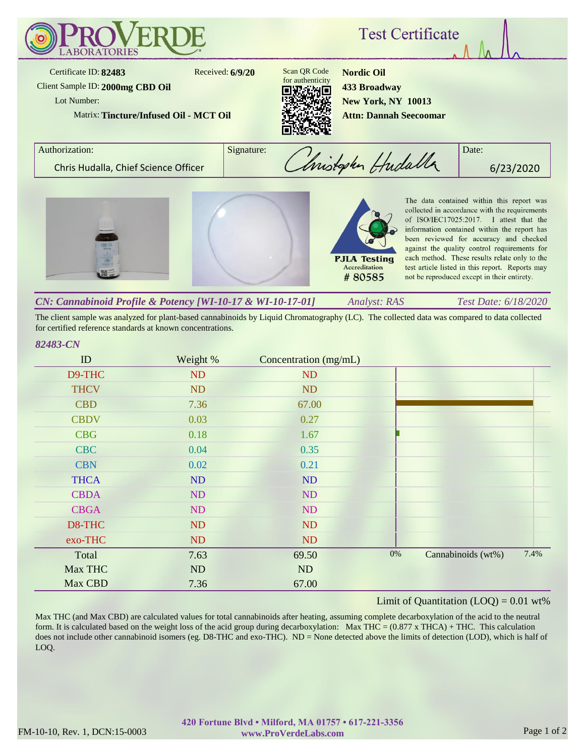

The client sample was analyzed for plant-based cannabinoids by Liquid Chromatography (LC). The collected data was compared to data collected for certified reference standards at known concentrations.

## *82483-CN*

| ID          | Weight % | Concentration (mg/mL) |       |                    |      |
|-------------|----------|-----------------------|-------|--------------------|------|
| D9-THC      | ND       | ND                    |       |                    |      |
| <b>THCV</b> | ND       | <b>ND</b>             |       |                    |      |
| <b>CBD</b>  | 7.36     | 67.00                 |       |                    |      |
| <b>CBDV</b> | 0.03     | 0.27                  |       |                    |      |
| <b>CBG</b>  | 0.18     | 1.67                  |       |                    |      |
| <b>CBC</b>  | 0.04     | 0.35                  |       |                    |      |
| <b>CBN</b>  | 0.02     | 0.21                  |       |                    |      |
| <b>THCA</b> | ND       | ND                    |       |                    |      |
| <b>CBDA</b> | ND       | ND                    |       |                    |      |
| <b>CBGA</b> | ND       | <b>ND</b>             |       |                    |      |
| D8-THC      | ND       | <b>ND</b>             |       |                    |      |
| exo-THC     | ND       | <b>ND</b>             |       |                    |      |
| Total       | 7.63     | 69.50                 | $0\%$ | Cannabinoids (wt%) | 7.4% |
| Max THC     | ND       | ND                    |       |                    |      |
| Max CBD     | 7.36     | 67.00                 |       |                    |      |

## Limit of Quantitation  $(LOQ) = 0.01$  wt%

Max THC (and Max CBD) are calculated values for total cannabinoids after heating, assuming complete decarboxylation of the acid to the neutral form. It is calculated based on the weight loss of the acid group during decarboxylation: Max THC =  $(0.877 \times THCA) + THC$ . This calculation does not include other cannabinoid isomers (eg. D8-THC and exo-THC). ND = None detected above the limits of detection (LOD), which is half of LOQ.